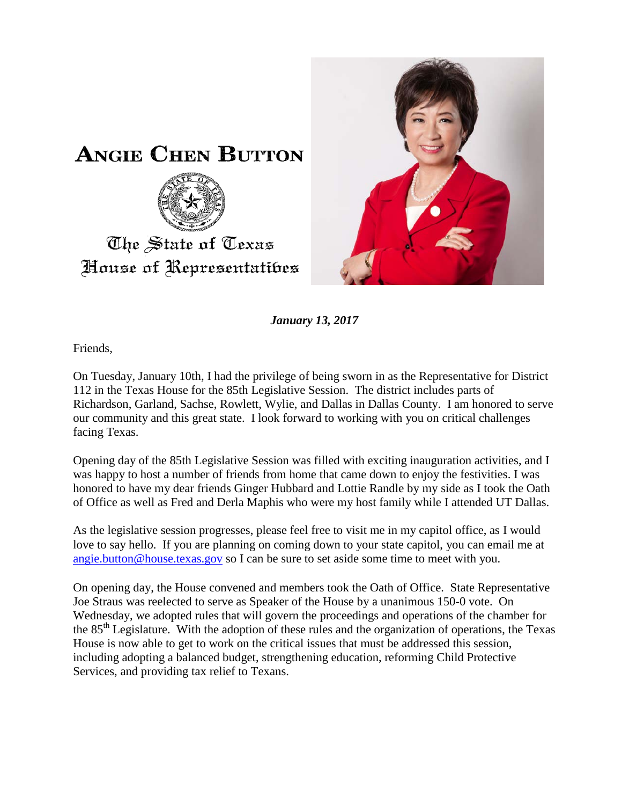

*January 13, 2017*

Friends,

On Tuesday, January 10th, I had the privilege of being sworn in as the Representative for District 112 in the Texas House for the 85th Legislative Session. The district includes parts of Richardson, Garland, Sachse, Rowlett, Wylie, and Dallas in Dallas County. I am honored to serve our community and this great state. I look forward to working with you on critical challenges facing Texas.

Opening day of the 85th Legislative Session was filled with exciting inauguration activities, and I was happy to host a number of friends from home that came down to enjoy the festivities. I was honored to have my dear friends Ginger Hubbard and Lottie Randle by my side as I took the Oath of Office as well as Fred and Derla Maphis who were my host family while I attended UT Dallas.

As the legislative session progresses, please feel free to visit me in my capitol office, as I would love to say hello. If you are planning on coming down to your state capitol, you can email me at [angie.button@house.texas.gov](mailto:angie.button@house.texas.gov) so I can be sure to set aside some time to meet with you.

On opening day, the House convened and members took the Oath of Office. State Representative Joe Straus was reelected to serve as Speaker of the House by a unanimous 150-0 vote. On Wednesday, we adopted rules that will govern the proceedings and operations of the chamber for the 85<sup>th</sup> Legislature. With the adoption of these rules and the organization of operations, the Texas House is now able to get to work on the critical issues that must be addressed this session, including adopting a balanced budget, strengthening education, reforming Child Protective Services, and providing tax relief to Texans.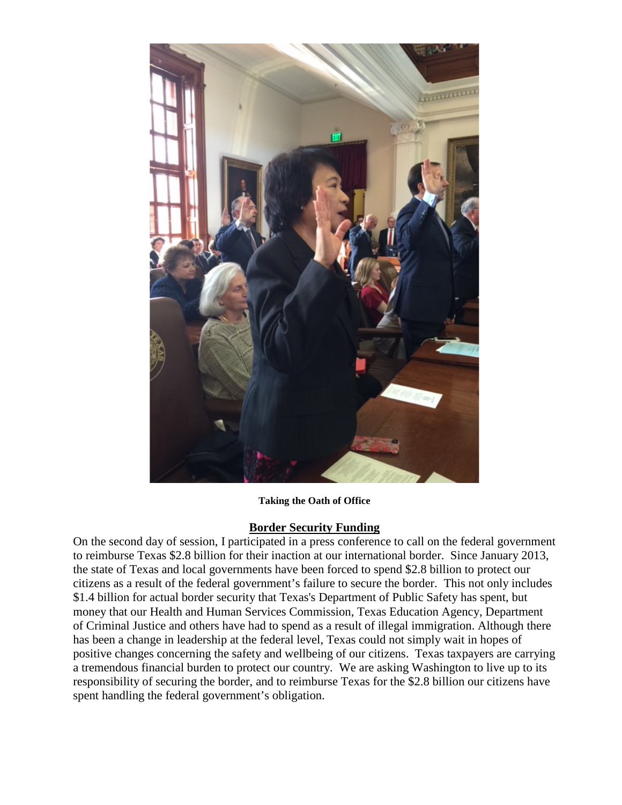

**Taking the Oath of Office**

## **Border Security Funding**

On the second day of session, I participated in a press conference to call on the federal government to reimburse Texas \$2.8 billion for their inaction at our international border. Since January 2013, the state of Texas and local governments have been forced to spend \$2.8 billion to protect our citizens as a result of the federal government's failure to secure the border. This not only includes \$1.4 billion for actual border security that Texas's Department of Public Safety has spent, but money that our Health and Human Services Commission, Texas Education Agency, Department of Criminal Justice and others have had to spend as a result of illegal immigration. Although there has been a change in leadership at the federal level, Texas could not simply wait in hopes of positive changes concerning the safety and wellbeing of our citizens. Texas taxpayers are carrying a tremendous financial burden to protect our country. We are asking Washington to live up to its responsibility of securing the border, and to reimburse Texas for the \$2.8 billion our citizens have spent handling the federal government's obligation.